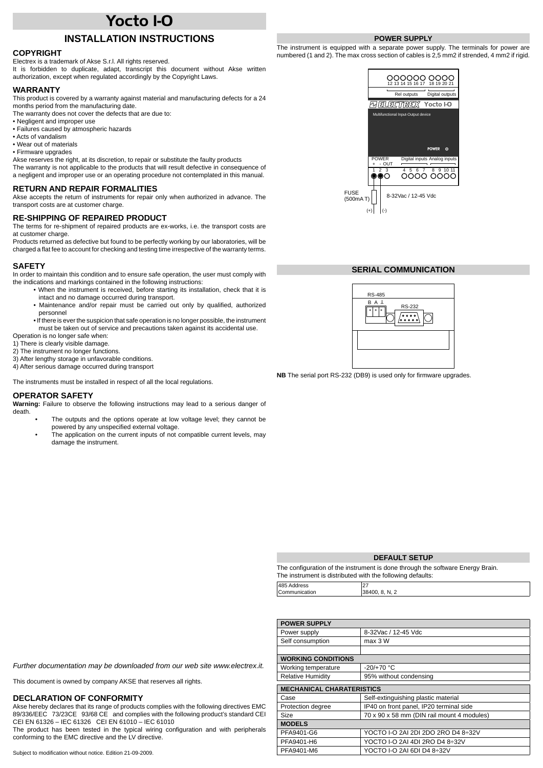# **Yocto I-O**

# **INSTALLATION INSTRUCTIONS**

## **COPYRIGHT**

Electrex is a trademark of Akse S.r.l. All rights reserved.

It is forbidden to duplicate, adapt, transcript this document without Akse written authorization, except when regulated accordingly by the Copyright Laws.

#### **WARRANTY**

This product is covered by a warranty against material and manufacturing defects for a 24 months period from the manufacturing date.

- The warranty does not cover the defects that are due to:
- Negligent and improper use
- Failures caused by atmospheric hazards
- Acts of vandalism
- Wear out of materials
- Firmware upgrades

Akse reserves the right, at its discretion, to repair or substitute the faulty products The warranty is not applicable to the products that will result defective in consequence of a negligent and improper use or an operating procedure not contemplated in this manual.

#### **RETURN AND REPAIR FORMALITIES**

Akse accepts the return of instruments for repair only when authorized in advance. The transport costs are at customer charge.

## **RE-SHIPPING OF REPAIRED PRODUCT**

The terms for re-shipment of repaired products are ex-works, i.e. the transport costs are at customer charge.

Products returned as defective but found to be perfectly working by our laboratories, will be charged a flat fee to account for checking and testing time irrespective of the warranty terms.

#### **SAFETY**

In order to maintain this condition and to ensure safe operation, the user must comply with the indications and markings contained in the following instructions:

- When the instrument is received, before starting its installation, check that it is intact and no damage occurred during transport.
- Maintenance and/or repair must be carried out only by qualified, authorized personnel
- If there is ever the suspicion that safe operation is no longer possible, the instrument must be taken out of service and precautions taken against its accidental use.

Operation is no longer safe when:

1) There is clearly visible damage.

2) The instrument no longer functions.

- 3) After lengthy storage in unfavorable conditions.
- 4) After serious damage occurred during transport

The instruments must be installed in respect of all the local regulations.

### **OPERATOR SAFETY**

**Warning:** Failure to observe the following instructions may lead to a serious danger of death.

- The outputs and the options operate at low voltage level; they cannot be powered by any unspecified external voltage.
- The application on the current inputs of not compatible current levels, may damage the instrument.

## **POWER SUPPLY**

The instrument is equipped with a separate power supply. The terminals for power are numbered (1 and 2). The max cross section of cables is 2,5 mm2 if strended, 4 mm2 if rigid.



## **SERIAL COMMUNICATION**



**NB** The serial port RS-232 (DB9) is used only for firmware upgrades.

## **DEFAULT SETUP**

| The configuration of the instrument is done through the software Energy Brain. |                |  |  |  |
|--------------------------------------------------------------------------------|----------------|--|--|--|
| The instrument is distributed with the following defaults:                     |                |  |  |  |
| 485 Address                                                                    | 27             |  |  |  |
| Communication                                                                  | 38400, 8, N, 2 |  |  |  |

| <b>POWER SUPPLY</b>              |                                            |  |  |  |  |
|----------------------------------|--------------------------------------------|--|--|--|--|
| Power supply                     | 8-32Vac / 12-45 Vdc                        |  |  |  |  |
| Self consumption                 | max 3 W                                    |  |  |  |  |
|                                  |                                            |  |  |  |  |
| <b>WORKING CONDITIONS</b>        |                                            |  |  |  |  |
| Working temperature              | $-20/+70 °C$                               |  |  |  |  |
| <b>Relative Humidity</b>         | 95% without condensing                     |  |  |  |  |
| <b>MECHANICAL CHARATERISTICS</b> |                                            |  |  |  |  |
|                                  |                                            |  |  |  |  |
| Case                             | Self-extinguishing plastic material        |  |  |  |  |
| Protection degree                | IP40 on front panel, IP20 terminal side    |  |  |  |  |
| Size                             | 70 x 90 x 58 mm (DIN rail mount 4 modules) |  |  |  |  |
| <b>MODELS</b>                    |                                            |  |  |  |  |
| PFA9401-G6                       | YOCTO I-O 2AI 2DI 2DO 2RO D4 8:32V         |  |  |  |  |
| PFA9401-H6                       | YOCTO I-O 2AI 4DI 2RO D4 8:32V             |  |  |  |  |
| PFA9401-M6                       | YOCTO I-O 2AI 6DI D4 8÷32V                 |  |  |  |  |

*Further documentation may be downloaded from our web site www.electrex.it.*

This document is owned by company AKSE that reserves all rights.

#### **DECLARATION OF CONFORMITY**

Akse hereby declares that its range of products complies with the following directives EMC 89/336/EEC 73/23CE 93/68 CE and complies with the following product's standard CEI CEI EN 61326 – IEC 61326 CEI EN 61010 – IEC 61010

The product has been tested in the typical wiring configuration and with peripherals conforming to the EMC directive and the LV directive.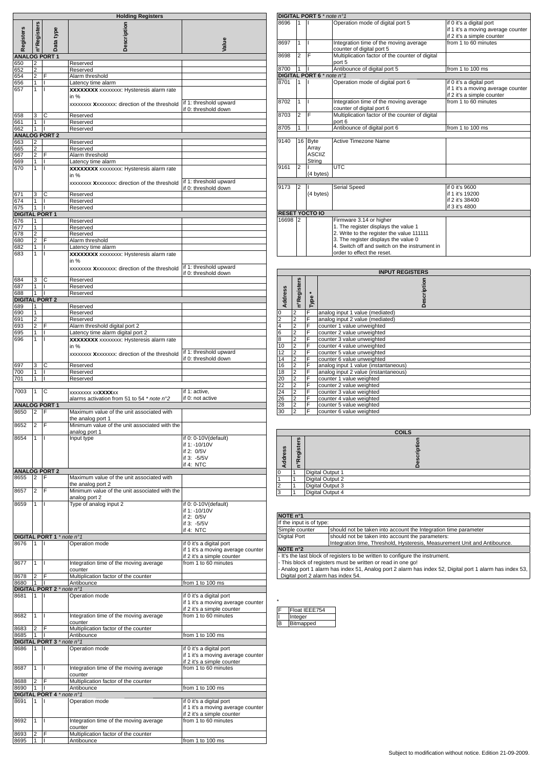|                              |                         |                                | <b>Holding Registers</b>                                                                                  |                                                                                              |
|------------------------------|-------------------------|--------------------------------|-----------------------------------------------------------------------------------------------------------|----------------------------------------------------------------------------------------------|
| <b>Registers</b>             | n°Registers             | Data type                      | Description                                                                                               | Value                                                                                        |
| <b>ANALOG PORT 1</b>         |                         |                                |                                                                                                           |                                                                                              |
| 650                          | 2<br>$\overline{2}$     |                                | Reserved                                                                                                  |                                                                                              |
| 652<br>654                   | $\overline{2}$          | F                              | Reserved<br>Alarm threshold                                                                               |                                                                                              |
| 656                          | 1                       | I                              | Latency time alarm                                                                                        |                                                                                              |
| 657                          | 1                       | T                              | <b>XXXXXXXX</b> xxxxxxxx: Hysteresis alarm rate<br>in $%$<br>xxxxxxx Xxxxxxxx: direction of the threshold | if 1: threshold upward                                                                       |
| 658                          | 3                       | С                              | Reserved                                                                                                  | if 0: threshold down                                                                         |
| 661                          | 1                       | I                              | Reserved                                                                                                  |                                                                                              |
| 662                          | 1                       | п<br><b>ANALOG PORT 2</b>      | Reserved                                                                                                  |                                                                                              |
| 663                          | 2                       |                                | Reserved                                                                                                  |                                                                                              |
| 665                          | $\overline{\mathbf{c}}$ |                                | Reserved                                                                                                  |                                                                                              |
| 667<br>669                   | $\overline{2}$<br>1     | F<br>т                         | Alarm threshold<br>Latency time alarm                                                                     |                                                                                              |
| 670                          | $\overline{1}$          | $\mathsf{I}$                   | <b>XXXXXXX</b> xxxxxxxx: Hysteresis alarm rate                                                            |                                                                                              |
|                              |                         |                                | in %<br>xxxxxxx Xxxxxxxx: direction of the threshold                                                      | if 1: threshold upward<br>if 0: threshold down                                               |
| 671                          | 3                       | C                              | Reserved                                                                                                  |                                                                                              |
| 674<br>675                   | 1<br>1                  | L<br>T                         | Reserved<br>Reserved                                                                                      |                                                                                              |
| <b>DIGITAL PORT 1</b>        |                         |                                |                                                                                                           |                                                                                              |
| 676                          | 1                       |                                | Reserved                                                                                                  |                                                                                              |
| 677<br>678                   | 1<br>$\overline{2}$     |                                | Reserved<br>Reserved                                                                                      |                                                                                              |
| 680                          | $\overline{2}$          | F                              | Alarm threshold                                                                                           |                                                                                              |
| 682                          | 1                       | $\mathsf{I}$                   | Latency time alarm                                                                                        |                                                                                              |
| 683                          | 1                       | T                              | <b>XXXXXXXX</b> xxxxxxxx: Hysteresis alarm rate<br>in $%$<br>xxxxxxx Xxxxxxxx: direction of the threshold | if 1: threshold upward                                                                       |
| 684                          | 3                       | C                              | Reserved                                                                                                  | if 0: threshold down                                                                         |
| 687                          | 1                       | I                              | Reserved                                                                                                  |                                                                                              |
| 688                          | 1                       | п                              | Reserved                                                                                                  |                                                                                              |
| <b>DIGITAL PORT 2</b>        |                         |                                |                                                                                                           |                                                                                              |
| 689<br>690                   | 1<br>1                  |                                | Reserved<br>Reserved                                                                                      |                                                                                              |
| 691                          | $\overline{2}$          |                                | Reserved                                                                                                  |                                                                                              |
| 693                          | $\overline{2}$          | F                              | Alarm threshold digital port 2                                                                            |                                                                                              |
| 695<br>696                   | $\overline{1}$<br>1     | ī<br>T                         | Latency time alarm digital port 2<br><b>XXXXXXXX</b> xxxxxxxx: Hysteresis alarm rate<br>in $%$            |                                                                                              |
|                              |                         |                                | xxxxxxx Xxxxxxxx: direction of the threshold                                                              | if 1: threshold upward<br>if 0: threshold down                                               |
| 697<br>700                   | 3                       | $\overline{\mathsf{c}}$<br>L   | Reserved<br>Reserved                                                                                      |                                                                                              |
| 701                          | 1<br>1                  | $\mathsf{I}$                   | Reserved                                                                                                  |                                                                                              |
|                              |                         |                                |                                                                                                           |                                                                                              |
| 7003<br><b>ANALOG PORT 1</b> | 1                       | C                              | xxxxxxxx xx <b>xxxx</b> xx<br>alarms activation from 51 to 54 * note n°2                                  | if 1: active.<br>if 0: not active                                                            |
| 8650                         | 2                       | F                              | Maximum value of the unit associated with<br>the analog port 1                                            |                                                                                              |
| 8652                         | 2                       | F                              | Minimum value of the unit associated with the<br>analog port 1                                            |                                                                                              |
| 8654                         | 1                       | $\mathbf{I}$                   | Input type                                                                                                | if 0: 0-10V(default)<br>if 1: -10/10V<br>if 2: 0/5V<br>if 3: -5/5V<br>if 4: NTC              |
|                              |                         | <b>ANALOG PORT 2</b>           |                                                                                                           |                                                                                              |
| 8655                         | 2                       | F                              | Maximum value of the unit associated with<br>the analog port 2                                            |                                                                                              |
| 8657                         | $\overline{2}$          | F                              | Minimum value of the unit associated with the                                                             |                                                                                              |
| 8659                         | 1                       | $\mathsf{I}$                   | analog port 2<br>Type of analog input 2                                                                   | if 0: 0-10V(default)<br>if 1: -10/10V<br>if 2: 0/5V<br>if 3: -5/5V<br>if 4: NTC              |
|                              |                         | DIGITAL PORT 1 * note n°1      |                                                                                                           |                                                                                              |
| 8676                         | 1                       | H.                             | Operation mode                                                                                            | if 0 it's a digital port<br>if 1 it's a moving average counter<br>if 2 it's a simple counter |
| 8677                         | 1                       | I                              | Integration time of the moving average<br>counter                                                         | from 1 to 60 minutes                                                                         |
| 8678                         | 2                       | F                              | Multiplication factor of the counter                                                                      |                                                                                              |
| 8680                         | 1                       | T<br>DIGITAL PORT 2 * note n°1 | Antibounce                                                                                                | from 1 to 100 ms                                                                             |
| 8681                         | 1                       | I                              | Operation mode                                                                                            | if 0 it's a digital port<br>if 1 it's a moving average counter                               |
| 8682                         | 1                       | L                              | Integration time of the moving average<br>counter                                                         | if 2 it's a simple counter<br>from 1 to 60 minutes                                           |
| 8683                         | $\overline{2}$          | F                              | Multiplication factor of the counter                                                                      |                                                                                              |
| 8685                         | 1                       | ı                              | Antibounce                                                                                                | from 1 to 100 ms                                                                             |
| 8686                         | 1                       | DIGITAL PORT 3 * note n°1<br>L | Operation mode                                                                                            | if 0 it's a digital port<br>if 1 it's a moving average counter                               |
| 8687                         | 1                       | T                              | Integration time of the moving average<br>counter                                                         | if 2 it's a simple counter<br>from 1 to 60 minutes                                           |
| 8688                         | $\overline{2}$          | F                              | Multiplication factor of the counter                                                                      |                                                                                              |
| 8690                         | 1                       | $\mathsf{L}$                   | Antibounce                                                                                                | from 1 to 100 ms                                                                             |
| 8691                         | 1                       | DIGITAL PORT 4 * note n°1<br>L | Operation mode                                                                                            | if 0 it's a digital port<br>if 1 it's a moving average counter                               |
| 8692                         | 1                       | $\mathsf{I}$                   | Integration time of the moving average                                                                    | if 2 it's a simple counter<br>from 1 to 60 minutes                                           |
| 8693                         | 2                       | F                              | counter<br>Multiplication factor of the counter                                                           |                                                                                              |
| 8695                         | 1                       | $\mathsf{I}$                   | Antibounce                                                                                                | from 1 to 100 ms                                                                             |

|       |                | DIGITAL PORT 5 * note n°1        |                                                 |                                    |
|-------|----------------|----------------------------------|-------------------------------------------------|------------------------------------|
| 8696  | 1              |                                  | Operation mode of digital port 5                | if 0 it's a digital port           |
|       |                |                                  |                                                 | if 1 it's a moving average counter |
|       |                |                                  |                                                 | if 2 it's a simple counter         |
| 8697  | 1              | ı                                | Integration time of the moving average          | from 1 to 60 minutes               |
|       |                |                                  | counter of digital port 5                       |                                    |
| 8698  | $\overline{2}$ | F                                | Multiplication factor of the counter of digital |                                    |
|       |                |                                  | port 5                                          |                                    |
| 8700  | 1              |                                  | Antibounce of digital port 5                    | from 1 to 100 ms                   |
|       |                | <b>DIGITAL PORT 6</b> * note n°1 |                                                 |                                    |
| 8701  | 1              |                                  | Operation mode of digital port 6                | if 0 it's a digital port           |
|       |                |                                  |                                                 | if 1 it's a moving average counter |
|       |                |                                  |                                                 | if 2 it's a simple counter         |
| 8702  | 1              | ı                                | Integration time of the moving average          | from 1 to 60 minutes               |
|       |                |                                  | counter of digital port 6                       |                                    |
| 8703  | $\overline{2}$ | F                                | Multiplication factor of the counter of digital |                                    |
|       |                |                                  | port 6                                          |                                    |
| 8705  | 1              | ı                                | Antibounce of digital port 6                    | from 1 to 100 ms                   |
|       |                |                                  |                                                 |                                    |
| 9140  | 16             | Byte                             | Active Timezone Name                            |                                    |
|       |                | Array                            |                                                 |                                    |
|       |                | <b>ASCIIZ</b>                    |                                                 |                                    |
|       |                | String                           |                                                 |                                    |
| 9161  | 2              |                                  | <b>UTC</b>                                      |                                    |
|       |                | (4 bytes)                        |                                                 |                                    |
|       |                |                                  |                                                 |                                    |
| 9173  | $\overline{2}$ |                                  | Serial Speed                                    | if 0 it's 9600                     |
|       |                | (4 bytes)                        |                                                 | if 1 it's 19200                    |
|       |                |                                  |                                                 | if 2 it's 38400                    |
|       |                |                                  |                                                 | if 3 it's 4800                     |
|       |                | <b>RESET YOCTO IO</b>            |                                                 |                                    |
| 16698 | 2              |                                  | Firmware 3.14 or higher                         |                                    |
|       |                |                                  | 1. The register displays the value 1            |                                    |
|       |                |                                  | 2. Write to the register the value 111111       |                                    |
|       |                |                                  | 3. The register displays the value 0            |                                    |
|       |                |                                  | 4. Switch off and switch on the instrument in   |                                    |
|       |                |                                  | order to effect the reset.                      |                                    |
|       |                |                                  |                                                 |                                    |

|                 | <b>INPUT REGISTERS</b> |      |                                      |  |  |
|-----------------|------------------------|------|--------------------------------------|--|--|
| Address         | n°Registers            | Type | Description                          |  |  |
| $\pmb{0}$       | 2                      | F    | analog input 1 value (mediated)      |  |  |
| $\overline{2}$  | 2                      | F    | analog input 2 value (mediated)      |  |  |
| $\overline{4}$  | $\overline{2}$         | F    | counter 1 value unweighted           |  |  |
| $\overline{6}$  | 2                      | F    | counter 2 value unweighted           |  |  |
| $\overline{8}$  | 2                      | F    | counter 3 value unweighted           |  |  |
| 10              | $\overline{2}$         | F    | counter 4 value unweighted           |  |  |
| 12              | $\overline{2}$         | F    | counter 5 value unweighted           |  |  |
| 14              | $\overline{2}$         | F    | counter 6 value unweighted           |  |  |
| 16              | $\overline{2}$         | F    | analog input 1 value (instantaneous) |  |  |
| 18              | $\overline{2}$         | F    | analog input 2 value (instantaneous) |  |  |
| 20              | $\overline{2}$         | F    | counter 1 value weighted             |  |  |
| 22              | $\overline{2}$         | F    | counter 2 value weighted             |  |  |
| $\overline{24}$ | $\overline{2}$         | F    | counter 3 value weighted             |  |  |
| 26              | $\overline{2}$         | F    | counter 4 value weighted             |  |  |
| $\overline{28}$ | $\overline{2}$         | F    | counter 5 value weighted             |  |  |
| 30              | $\overline{2}$         | F    | counter 6 value weighted             |  |  |

|         | <b>COILS</b>                                |                         |  |  |  |  |
|---------|---------------------------------------------|-------------------------|--|--|--|--|
| Address | <b>Registers</b><br>$\bullet$<br>$\epsilon$ | 븅                       |  |  |  |  |
|         |                                             | Digital Output 1        |  |  |  |  |
|         |                                             | Digital Output 2        |  |  |  |  |
| 2       |                                             | Digital Output 3        |  |  |  |  |
| $\sim$  |                                             | <b>Digital Output 4</b> |  |  |  |  |

| NOTE n°1                                                                      |                                                                                                          |  |  |  |  |
|-------------------------------------------------------------------------------|----------------------------------------------------------------------------------------------------------|--|--|--|--|
|                                                                               | If the input is of type:                                                                                 |  |  |  |  |
| Simple counter                                                                | should not be taken into account the Integration time parameter                                          |  |  |  |  |
| <b>Digital Port</b>                                                           | should not be taken into account the parameters:                                                         |  |  |  |  |
|                                                                               | Integration time, Threshold, Hysteresis, Measurement Unit and Antibounce.                                |  |  |  |  |
| NOTE n°2                                                                      |                                                                                                          |  |  |  |  |
| - It's the last block of registers to be written to configure the instrument. |                                                                                                          |  |  |  |  |
| - This block of registers must be written or read in one go!                  |                                                                                                          |  |  |  |  |
|                                                                               | - Analog port 1 alarm has index 51, Analog port 2 alarm has index 52, Digital port 1 alarm has index 53, |  |  |  |  |

- Analog port 1 alarm has index 51, Analog port 2 alarm has index 52, Digital port 1 alarm has index 53, Digital port 2 alarm has index 54.

|   | Float IEEE754 |
|---|---------------|
|   | Integer       |
| R | Bitmapped     |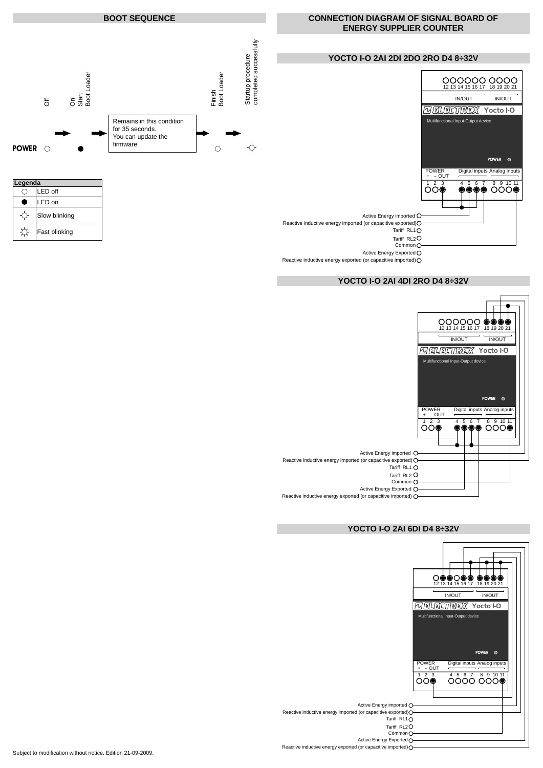

Common O

Active Energy Exported O

Reactive inductive energy exported (or capacitive imported)

# **YOCTO I-O 2AI 4DI 2RO D4 8÷32V**



# **YOCTO I-O 2AI 6DI D4 8÷32V**